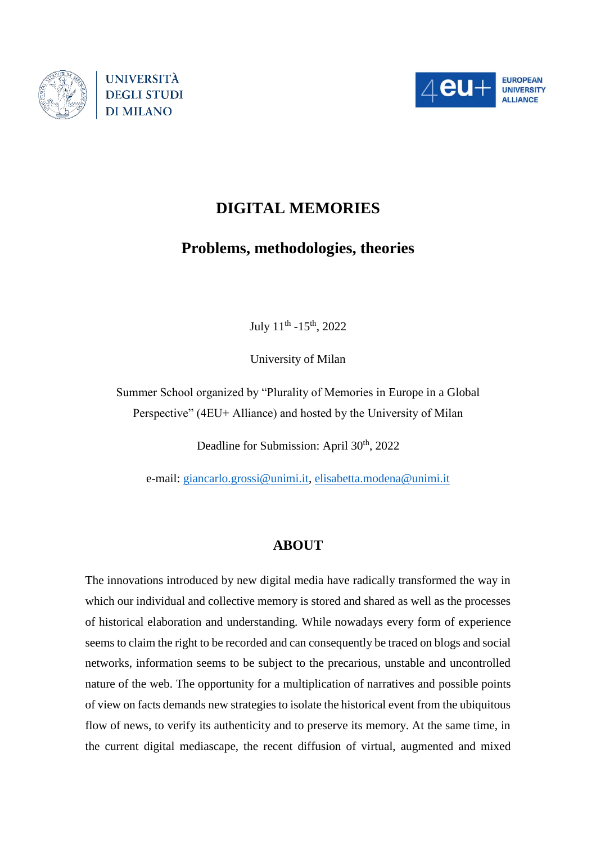



# **DIGITAL MEMORIES**

## **Problems, methodologies, theories**

July 11<sup>th</sup> -15<sup>th</sup>, 2022

University of Milan

Summer School organized by "Plurality of Memories in Europe in a Global Perspective" (4EU+ Alliance) and hosted by the University of Milan

Deadline for Submission: April 30<sup>th</sup>, 2022

e-mail: [giancarlo.grossi@unimi.it,](mailto:giancarlo.grossi@unimi.it) [elisabetta.modena@unimi.it](mailto:elisabetta.modena@unimi.it)

### **ABOUT**

The innovations introduced by new digital media have radically transformed the way in which our individual and collective memory is stored and shared as well as the processes of historical elaboration and understanding. While nowadays every form of experience seems to claim the right to be recorded and can consequently be traced on blogs and social networks, information seems to be subject to the precarious, unstable and uncontrolled nature of the web. The opportunity for a multiplication of narratives and possible points of view on facts demands new strategies to isolate the historical event from the ubiquitous flow of news, to verify its authenticity and to preserve its memory. At the same time, in the current digital mediascape, the recent diffusion of virtual, augmented and mixed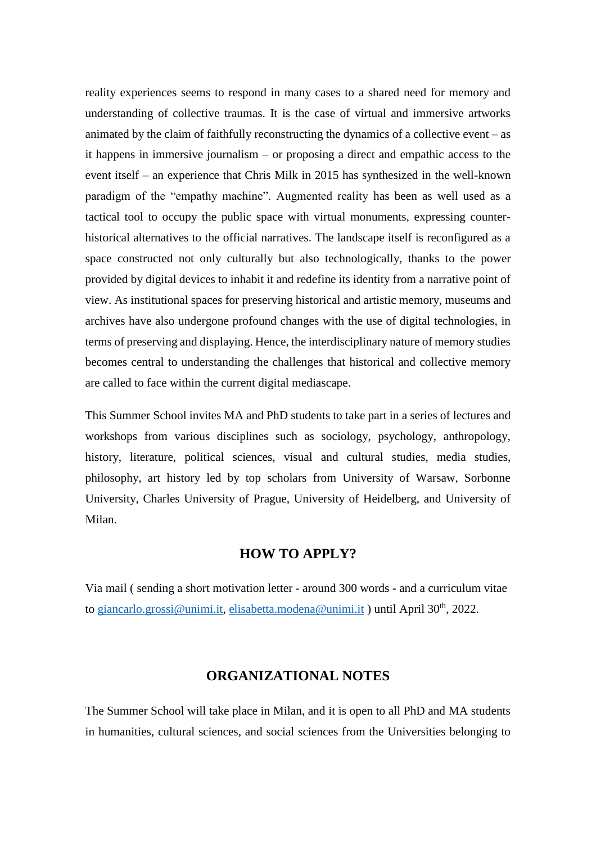reality experiences seems to respond in many cases to a shared need for memory and understanding of collective traumas. It is the case of virtual and immersive artworks animated by the claim of faithfully reconstructing the dynamics of a collective event – as it happens in immersive journalism – or proposing a direct and empathic access to the event itself – an experience that Chris Milk in 2015 has synthesized in the well-known paradigm of the "empathy machine". Augmented reality has been as well used as a tactical tool to occupy the public space with virtual monuments, expressing counterhistorical alternatives to the official narratives. The landscape itself is reconfigured as a space constructed not only culturally but also technologically, thanks to the power provided by digital devices to inhabit it and redefine its identity from a narrative point of view. As institutional spaces for preserving historical and artistic memory, museums and archives have also undergone profound changes with the use of digital technologies, in terms of preserving and displaying. Hence, the interdisciplinary nature of memory studies becomes central to understanding the challenges that historical and collective memory are called to face within the current digital mediascape.

This Summer School invites MA and PhD students to take part in a series of lectures and workshops from various disciplines such as sociology, psychology, anthropology, history, literature, political sciences, visual and cultural studies, media studies, philosophy, art history led by top scholars from University of Warsaw, Sorbonne University, Charles University of Prague, University of Heidelberg, and University of Milan.

#### **HOW TO APPLY?**

Via mail ( sending a short motivation letter - around 300 words - and a curriculum vitae to [giancarlo.grossi@unimi.it,](mailto:giancarlo.grossi@unimi.it) [elisabetta.modena@unimi.it](mailto:elisabetta.modena@unimi.it) ) until April 30<sup>th</sup>, 2022.

### **ORGANIZATIONAL NOTES**

The Summer School will take place in Milan, and it is open to all PhD and MA students in humanities, cultural sciences, and social sciences from the Universities belonging to